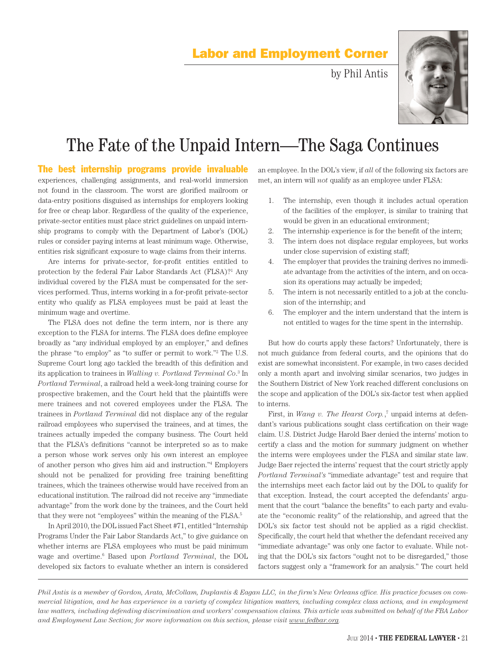## Labor and Employment Corner

by Phil Antis



## The Fate of the Unpaid Intern—The Saga Continues

The best internship programs provide invaluable experiences, challenging assignments, and real-world immersion not found in the classroom. The worst are glorified mailroom or data-entry positions disguised as internships for employers looking for free or cheap labor. Regardless of the quality of the experience, private-sector entities must place strict guidelines on unpaid internship programs to comply with the Department of Labor's (DOL) rules or consider paying interns at least minimum wage. Otherwise, entities risk significant exposure to wage claims from their interns.

Are interns for private-sector, for-profit entities entitled to protection by the federal Fair Labor Standards Act (FLSA)?<sup>1</sup> Any individual covered by the FLSA must be compensated for the services performed. Thus, interns working in a for-profit private-sector entity who qualify as FLSA employees must be paid at least the minimum wage and overtime.

The FLSA does not define the term intern, nor is there any exception to the FLSA for interns. The FLSA does define employee broadly as "any individual employed by an employer," and defines the phrase "to employ" as "to suffer or permit to work."2 The U.S. Supreme Court long ago tackled the breadth of this definition and its application to trainees in *Walling v. Portland Terminal Co*. 3 In *Portland Terminal*, a railroad held a week-long training course for prospective brakemen, and the Court held that the plaintiffs were mere trainees and not covered employees under the FLSA. The trainees in *Portland Terminal* did not displace any of the regular railroad employees who supervised the trainees, and at times, the trainees actually impeded the company business. The Court held that the FLSA's definitions "cannot be interpreted so as to make a person whose work serves only his own interest an employee of another person who gives him aid and instruction."4 Employers should not be penalized for providing free training benefitting trainees, which the trainees otherwise would have received from an educational institution. The railroad did not receive any "immediate advantage" from the work done by the trainees, and the Court held that they were not "employees" within the meaning of the FLSA.5

In April 2010, the DOL issued Fact Sheet #71, entitled "Internship Programs Under the Fair Labor Standards Act," to give guidance on whether interns are FLSA employees who must be paid minimum wage and overtime.6 Based upon *Portland Terminal*, the DOL developed six factors to evaluate whether an intern is considered

an employee. In the DOL's view, if *all* of the following six factors are met, an intern will *not* qualify as an employee under FLSA:

- 1. The internship, even though it includes actual operation of the facilities of the employer, is similar to training that would be given in an educational environment;
- 2. The internship experience is for the benefit of the intern;
- 3. The intern does not displace regular employees, but works under close supervision of existing staff;
- 4. The employer that provides the training derives no immediate advantage from the activities of the intern, and on occasion its operations may actually be impeded;
- 5. The intern is not necessarily entitled to a job at the conclusion of the internship; and
- 6. The employer and the intern understand that the intern is not entitled to wages for the time spent in the internship.

But how do courts apply these factors? Unfortunately, there is not much guidance from federal courts, and the opinions that do exist are somewhat inconsistent. For example, in two cases decided only a month apart and involving similar scenarios, two judges in the Southern District of New York reached different conclusions on the scope and application of the DOL's six-factor test when applied to interns.

First, in *Wang v. The Hearst Corp.*,<sup>7</sup> unpaid interns at defendant's various publications sought class certification on their wage claim. U.S. District Judge Harold Baer denied the interns' motion to certify a class and the motion for summary judgment on whether the interns were employees under the FLSA and similar state law. Judge Baer rejected the interns' request that the court strictly apply *Portland Terminal's* "immediate advantage" test and require that the internships meet each factor laid out by the DOL to qualify for that exception. Instead, the court accepted the defendants' argument that the court "balance the benefits" to each party and evaluate the "economic reality" of the relationship, and agreed that the DOL's six factor test should not be applied as a rigid checklist. Specifically, the court held that whether the defendant received any "immediate advantage" was only one factor to evaluate. While noting that the DOL's six factors "ought not to be disregarded," those factors suggest only a "framework for an analysis." The court held

*Phil Antis is a member of Gordon, Arata, McCollam, Duplantis & Eagan LLC, in the firm's New Orleans office. His practice focuses on commercial litigation, and he has experience in a variety of complex litigation matters, including complex class actions, and in employment law matters, including defending discrimination and workers' compensation claims. This article was submitted on behalf of the FBA Labor and Employment Law Section; for more information on this section, please visit www.fedbar.org.*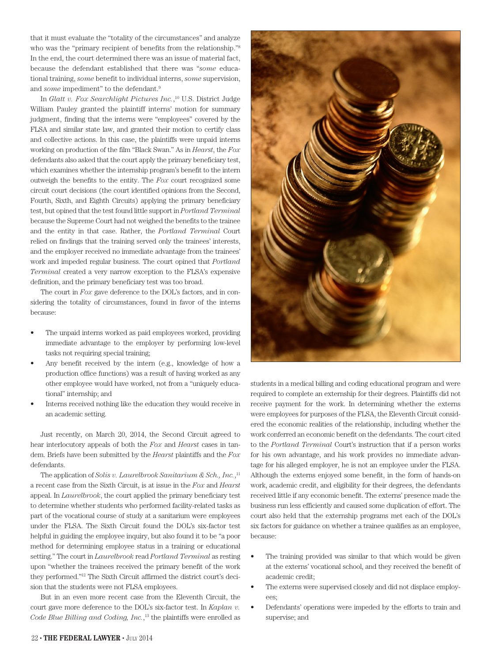that it must evaluate the "totality of the circumstances" and analyze who was the "primary recipient of benefits from the relationship."<sup>8</sup> In the end, the court determined there was an issue of material fact, because the defendant established that there was "*some* educational training, *some* benefit to individual interns, *some* supervision, and *some* impediment" to the defendant.<sup>9</sup>

In *Glatt v. Fox Searchlight Pictures Inc.*, 10 U.S. District Judge William Pauley granted the plaintiff interns' motion for summary judgment, finding that the interns were "employees" covered by the FLSA and similar state law, and granted their motion to certify class and collective actions. In this case, the plaintiffs were unpaid interns working on production of the film "Black Swan." As in *Hearst*, the *Fox* defendants also asked that the court apply the primary beneficiary test, which examines whether the internship program's benefit to the intern outweigh the benefits to the entity. The *Fox* court recognized some circuit court decisions (the court identified opinions from the Second, Fourth, Sixth, and Eighth Circuits) applying the primary beneficiary test, but opined that the test found little support in *Portland Terminal* because the Supreme Court had not weighed the benefits to the trainee and the entity in that case. Rather, the *Portland Terminal* Court relied on findings that the training served only the trainees' interests, and the employer received no immediate advantage from the trainees' work and impeded regular business. The court opined that *Portland Terminal* created a very narrow exception to the FLSA's expensive definition, and the primary beneficiary test was too broad.

The court in *Fox* gave deference to the DOL's factors, and in considering the totality of circumstances, found in favor of the interns because:

- The unpaid interns worked as paid employees worked, providing immediate advantage to the employer by performing low-level tasks not requiring special training;
- Any benefit received by the intern (e.g., knowledge of how a production office functions) was a result of having worked as any other employee would have worked, not from a "uniquely educational" internship; and
- Interns received nothing like the education they would receive in an academic setting.

Just recently, on March 20, 2014, the Second Circuit agreed to hear interlocutory appeals of both the *Fox* and *Hearst* cases in tandem. Briefs have been submitted by the *Hearst* plaintiffs and the *Fox* defendants.

The application of *Solis v. Laurelbrook Sanitarium & Sch., Inc.*, 11 a recent case from the Sixth Circuit, is at issue in the *Fox* and *Hearst* appeal. In *Laurelbrook*, the court applied the primary beneficiary test to determine whether students who performed facility-related tasks as part of the vocational course of study at a sanitarium were employees under the FLSA. The Sixth Circuit found the DOL's six-factor test helpful in guiding the employee inquiry, but also found it to be "a poor method for determining employee status in a training or educational setting." The court in *Laurelbrook* read *Portland Terminal* as resting upon "whether the trainees received the primary benefit of the work they performed."12 The Sixth Circuit affirmed the district court's decision that the students were not FLSA employees.

But in an even more recent case from the Eleventh Circuit, the court gave more deference to the DOL's six-factor test. In *Kaplan v. Code Blue Billing and Coding, Inc.*, 13 the plaintiffs were enrolled as



students in a medical billing and coding educational program and were required to complete an externship for their degrees. Plaintiffs did not receive payment for the work. In determining whether the externs were employees for purposes of the FLSA, the Eleventh Circuit considered the economic realities of the relationship, including whether the work conferred an economic benefit on the defendants. The court cited to the *Portland Terminal* Court's instruction that if a person works for his own advantage, and his work provides no immediate advantage for his alleged employer, he is not an employee under the FLSA. Although the externs enjoyed some benefit, in the form of hands-on work, academic credit, and eligibility for their degrees, the defendants received little if any economic benefit. The externs' presence made the business run less efficiently and caused some duplication of effort. The court also held that the externship programs met each of the DOL's six factors for guidance on whether a trainee qualifies as an employee, because:

- The training provided was similar to that which would be given at the externs' vocational school, and they received the benefit of academic credit;
- The externs were supervised closely and did not displace employees;
- Defendants' operations were impeded by the efforts to train and supervise; and